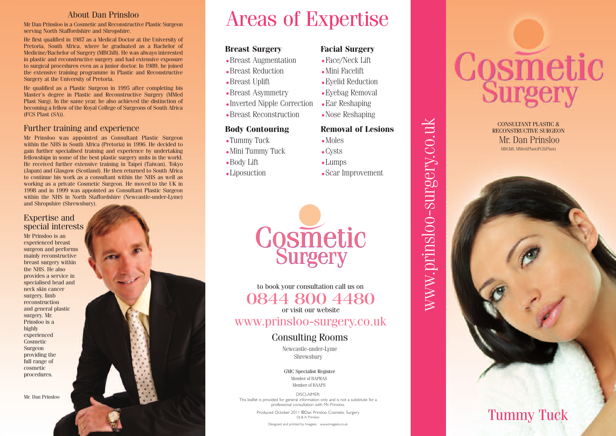#### About Dan Prinsloo

Mr Dan Prinsloo is a Cosmetic and Reconstructive Plastic Surgeon serving North Staffordshire and Shropshire.

He first qualified in 1987 as a Medical Doctor at the University of Pretoria, South Africa, where he graduated as a Bachelor of Medicine/Bachelor of Surgery (MBChB). He was always interested in plastic and reconstructive surgery and had extensive exposure to surgical procedures even as a junior doctor. In 1989, he joined the extensive training programme in Plastic and Reconstructive Surgery at the University of Pretoria.

He qualified as a Plastic Surgeon in 1995 after completing his Master's degree in Plastic and Reconstructive Surgery (MMed Plast Surg). In the same year, he also achieved the distinction of becoming a fellow of the Royal College of Surgeons of South Africa (FCS Plast (SA)).

#### Further training and experience

Mr Prinsloo was appointed as Consultant Plastic Surgeon within the NHS in South Africa (Pretoria) in 1996. He decided to gain further specialised training and experience by undertaking fellowships in some of the best plastic surgery units in the world. He received further extensive training in Taipei (Taiwan), Tokyo (Japan) and Glasgow (Scotland). He then returned to South Africa to continue his work as a consultant within the NHS as well as working as a private Cosmetic Surgeon. He moved to the UK in 1998 and in 1999 was appointed as Consultant Plastic Surgeon within the NHS in North Staffordshire (Newcastle-under-Lyme) and Shropshire (Shrewsbury).

#### Expertise and special interests

Mr Prinsloo is an experienced breast surgeon and performs mainly reconstructive breast surgery within the NHS. He also provides a service in specialised head and neck skin cancer surgery, limb reconstruction and general plastic surgery. Mr. Prinsloo is a highly experienced Cosmetic Surgeon providing the full range of cosmetic procedures.

Mr. Dan Prinsloo

## Areas of Expertise

#### **Breast Surgery**

- Breast Augmentation
- Breast Reduction
- Breast Uplift
- Breast Asymmetry
- Inverted Nipple Correction
- Breast Reconstruction

#### **Body** Contouring

- Tummy Tuck
- Mini Tummy Tuck
- Body Lift

i l

• Liposuction

#### **Facial Surgery**

- $\bullet$  Face/Neck Lift
- Mini Facelift
- Eyelid Reduction
- Eyebag Removal
- Ear Reshaping
- Nose Reshaping

# **Removal of Lesions**

www.prinsloo-surgery.co.uk

www.prinsloo-surgery.co.uk

- Moles • Cysts
- Lumps
- Scar Improvement



to book your consultation call us on 0844 800 4480

or visit our website

www.prinsloo-surgery.co.uk

#### Consulting Rooms

Shrewsbury Newcastle-under-Lyme

GMC Specialist Register Member of BAPRAS Member of BAAPS

DISCLAIMER : This leaflet is provided for general information only and is not a substitute for a i i l i i l i i professional consultation with Mr. Prinsloo i l l i i i l .

Produced October 2011 © Dan Prinsloo Cosmetic Surgery i l i DJ & A Prinsloo i l

> Designed and printed by Imagees www.imagees.co.uk i i i

# Cosmetic

MBChB, MMed(Plast)FCS(Plast) CONSULTANT PLASTIC & RECONSTRUCTIVE SURGEON Mr. Dan Prinsloo